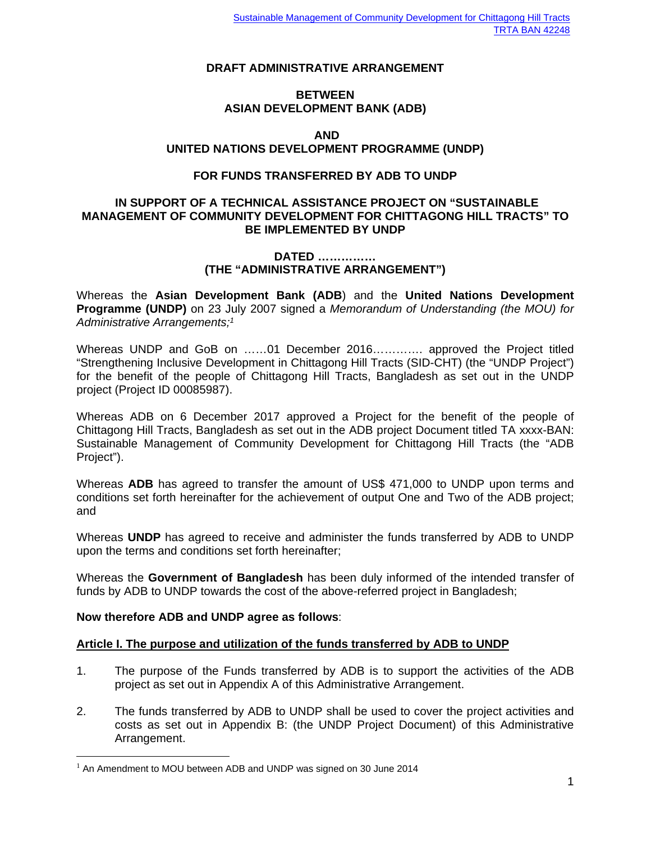## **DRAFT ADMINISTRATIVE ARRANGEMENT**

## **BETWEEN ASIAN DEVELOPMENT BANK (ADB)**

#### **AND**

## **UNITED NATIONS DEVELOPMENT PROGRAMME (UNDP)**

### **FOR FUNDS TRANSFERRED BY ADB TO UNDP**

#### **IN SUPPORT OF A TECHNICAL ASSISTANCE PROJECT ON "SUSTAINABLE MANAGEMENT OF COMMUNITY DEVELOPMENT FOR CHITTAGONG HILL TRACTS" TO BE IMPLEMENTED BY UNDP**

#### **DATED …………… (THE "ADMINISTRATIVE ARRANGEMENT")**

Whereas the **Asian Development Bank (ADB**) and the **United Nations Development Programme (UNDP)** on 23 July 2007 signed a *Memorandum of Understanding (the MOU) for Administrative Arrangements;1*

Whereas UNDP and GoB on ……01 December 2016…………. approved the Project titled "Strengthening Inclusive Development in Chittagong Hill Tracts (SID-CHT) (the "UNDP Project") for the benefit of the people of Chittagong Hill Tracts, Bangladesh as set out in the UNDP project (Project ID 00085987).

Whereas ADB on 6 December 2017 approved a Project for the benefit of the people of Chittagong Hill Tracts, Bangladesh as set out in the ADB project Document titled TA xxxx-BAN: Sustainable Management of Community Development for Chittagong Hill Tracts (the "ADB Project").

Whereas **ADB** has agreed to transfer the amount of US\$ 471,000 to UNDP upon terms and conditions set forth hereinafter for the achievement of output One and Two of the ADB project; and

Whereas **UNDP** has agreed to receive and administer the funds transferred by ADB to UNDP upon the terms and conditions set forth hereinafter;

Whereas the **Government of Bangladesh** has been duly informed of the intended transfer of funds by ADB to UNDP towards the cost of the above-referred project in Bangladesh;

#### **Now therefore ADB and UNDP agree as follows**:

#### **Article I. The purpose and utilization of the funds transferred by ADB to UNDP**

- 1. The purpose of the Funds transferred by ADB is to support the activities of the ADB project as set out in Appendix A of this Administrative Arrangement.
- 2. The funds transferred by ADB to UNDP shall be used to cover the project activities and costs as set out in Appendix B: (the UNDP Project Document) of this Administrative Arrangement.

 $1$  An Amendment to MOU between ADB and UNDP was signed on 30 June 2014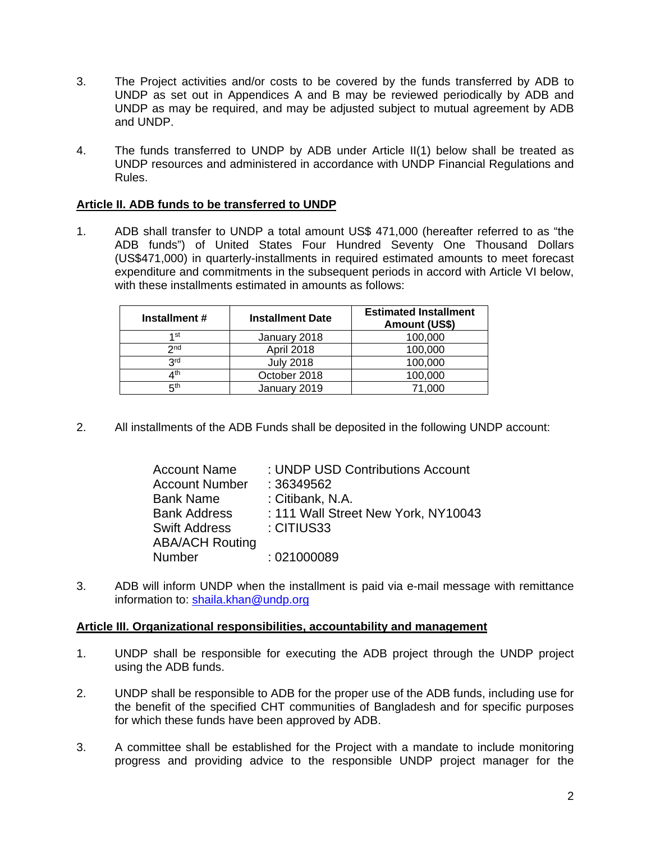- 3. The Project activities and/or costs to be covered by the funds transferred by ADB to UNDP as set out in Appendices A and B may be reviewed periodically by ADB and UNDP as may be required, and may be adjusted subject to mutual agreement by ADB and UNDP.
- 4. The funds transferred to UNDP by ADB under Article II(1) below shall be treated as UNDP resources and administered in accordance with UNDP Financial Regulations and Rules.

## **Article II. ADB funds to be transferred to UNDP**

1. ADB shall transfer to UNDP a total amount US\$ 471,000 (hereafter referred to as "the ADB funds") of United States Four Hundred Seventy One Thousand Dollars (US\$471,000) in quarterly-installments in required estimated amounts to meet forecast expenditure and commitments in the subsequent periods in accord with Article VI below, with these installments estimated in amounts as follows:

| Installment #   | <b>Installment Date</b> | <b>Estimated Installment</b><br>Amount (US\$) |
|-----------------|-------------------------|-----------------------------------------------|
| 1 st            | January 2018            | 100,000                                       |
| 2 <sub>nd</sub> | April 2018              | 100,000                                       |
| 3 <sup>rd</sup> | <b>July 2018</b>        | 100,000                                       |
| 4 <sup>th</sup> | October 2018            | 100,000                                       |
| 5 <sup>th</sup> | January 2019            | 71.000                                        |

2. All installments of the ADB Funds shall be deposited in the following UNDP account:

| <b>Account Name</b>    | : UNDP USD Contributions Account    |
|------------------------|-------------------------------------|
| <b>Account Number</b>  | : 36349562                          |
| <b>Bank Name</b>       | : Citibank, N.A.                    |
| <b>Bank Address</b>    | : 111 Wall Street New York, NY10043 |
| <b>Swift Address</b>   | : CITIUS33                          |
| <b>ABA/ACH Routing</b> |                                     |
| <b>Number</b>          | :021000089                          |

3. ADB will inform UNDP when the installment is paid via e-mail message with remittance information to: shaila.khan@undp.org

#### **Article III. Organizational responsibilities, accountability and management**

- 1. UNDP shall be responsible for executing the ADB project through the UNDP project using the ADB funds.
- 2. UNDP shall be responsible to ADB for the proper use of the ADB funds, including use for the benefit of the specified CHT communities of Bangladesh and for specific purposes for which these funds have been approved by ADB.
- 3. A committee shall be established for the Project with a mandate to include monitoring progress and providing advice to the responsible UNDP project manager for the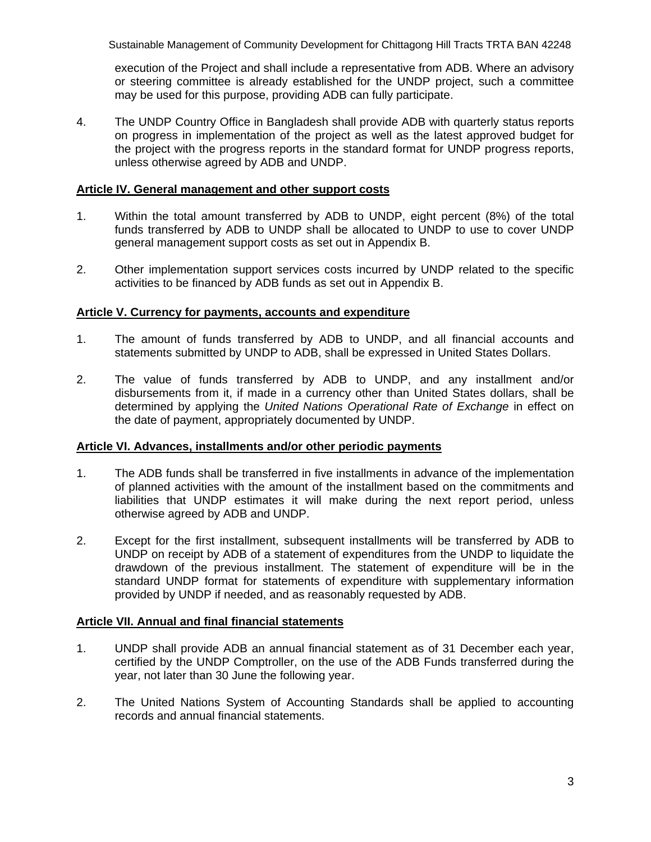Sustainable Management of Community Development for Chittagong Hill Tracts TRTA BAN 42248

execution of the Project and shall include a representative from ADB. Where an advisory or steering committee is already established for the UNDP project, such a committee may be used for this purpose, providing ADB can fully participate.

4. The UNDP Country Office in Bangladesh shall provide ADB with quarterly status reports on progress in implementation of the project as well as the latest approved budget for the project with the progress reports in the standard format for UNDP progress reports, unless otherwise agreed by ADB and UNDP.

## **Article IV. General management and other support costs**

- 1. Within the total amount transferred by ADB to UNDP, eight percent (8%) of the total funds transferred by ADB to UNDP shall be allocated to UNDP to use to cover UNDP general management support costs as set out in Appendix B.
- 2. Other implementation support services costs incurred by UNDP related to the specific activities to be financed by ADB funds as set out in Appendix B.

### **Article V. Currency for payments, accounts and expenditure**

- 1. The amount of funds transferred by ADB to UNDP, and all financial accounts and statements submitted by UNDP to ADB, shall be expressed in United States Dollars.
- 2. The value of funds transferred by ADB to UNDP, and any installment and/or disbursements from it, if made in a currency other than United States dollars, shall be determined by applying the *United Nations Operational Rate of Exchange* in effect on the date of payment, appropriately documented by UNDP.

#### **Article VI. Advances, installments and/or other periodic payments**

- 1. The ADB funds shall be transferred in five installments in advance of the implementation of planned activities with the amount of the installment based on the commitments and liabilities that UNDP estimates it will make during the next report period, unless otherwise agreed by ADB and UNDP.
- 2. Except for the first installment, subsequent installments will be transferred by ADB to UNDP on receipt by ADB of a statement of expenditures from the UNDP to liquidate the drawdown of the previous installment. The statement of expenditure will be in the standard UNDP format for statements of expenditure with supplementary information provided by UNDP if needed, and as reasonably requested by ADB.

## **Article VII. Annual and final financial statements**

- 1. UNDP shall provide ADB an annual financial statement as of 31 December each year, certified by the UNDP Comptroller, on the use of the ADB Funds transferred during the year, not later than 30 June the following year.
- 2. The United Nations System of Accounting Standards shall be applied to accounting records and annual financial statements.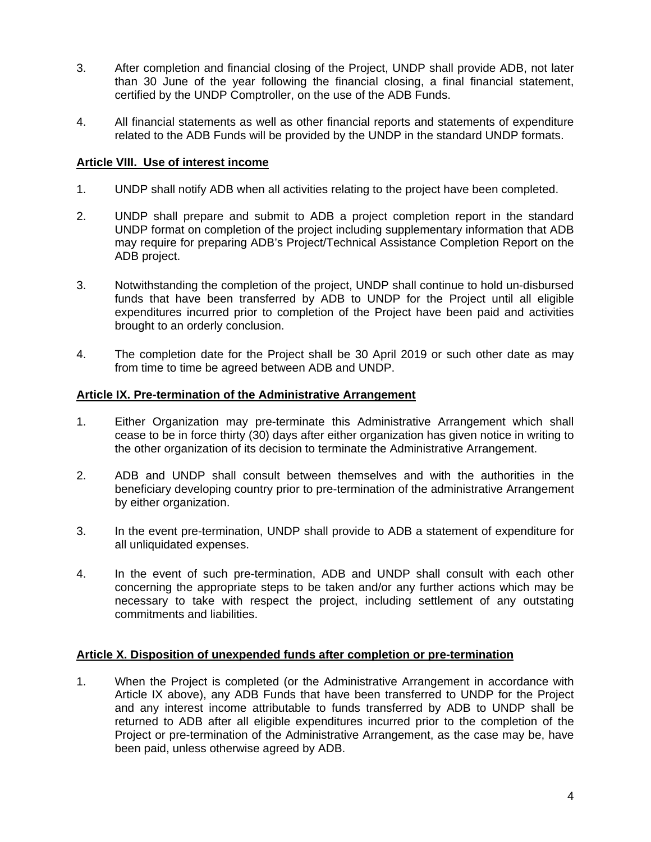- 3. After completion and financial closing of the Project, UNDP shall provide ADB, not later than 30 June of the year following the financial closing, a final financial statement, certified by the UNDP Comptroller, on the use of the ADB Funds.
- 4. All financial statements as well as other financial reports and statements of expenditure related to the ADB Funds will be provided by the UNDP in the standard UNDP formats.

## **Article VIII. Use of interest income**

- 1. UNDP shall notify ADB when all activities relating to the project have been completed.
- 2. UNDP shall prepare and submit to ADB a project completion report in the standard UNDP format on completion of the project including supplementary information that ADB may require for preparing ADB's Project/Technical Assistance Completion Report on the ADB project.
- 3. Notwithstanding the completion of the project, UNDP shall continue to hold un-disbursed funds that have been transferred by ADB to UNDP for the Project until all eligible expenditures incurred prior to completion of the Project have been paid and activities brought to an orderly conclusion.
- 4. The completion date for the Project shall be 30 April 2019 or such other date as may from time to time be agreed between ADB and UNDP.

#### **Article IX. Pre-termination of the Administrative Arrangement**

- 1. Either Organization may pre-terminate this Administrative Arrangement which shall cease to be in force thirty (30) days after either organization has given notice in writing to the other organization of its decision to terminate the Administrative Arrangement.
- 2. ADB and UNDP shall consult between themselves and with the authorities in the beneficiary developing country prior to pre-termination of the administrative Arrangement by either organization.
- 3. In the event pre-termination, UNDP shall provide to ADB a statement of expenditure for all unliquidated expenses.
- 4. In the event of such pre-termination, ADB and UNDP shall consult with each other concerning the appropriate steps to be taken and/or any further actions which may be necessary to take with respect the project, including settlement of any outstating commitments and liabilities.

#### **Article X. Disposition of unexpended funds after completion or pre-termination**

1. When the Project is completed (or the Administrative Arrangement in accordance with Article IX above), any ADB Funds that have been transferred to UNDP for the Project and any interest income attributable to funds transferred by ADB to UNDP shall be returned to ADB after all eligible expenditures incurred prior to the completion of the Project or pre-termination of the Administrative Arrangement, as the case may be, have been paid, unless otherwise agreed by ADB.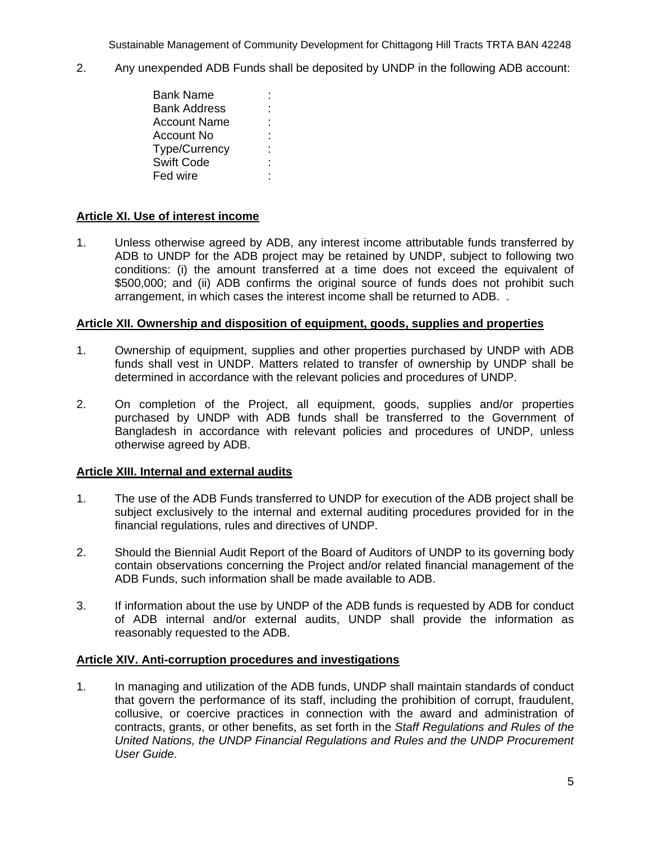Sustainable Management of Community Development for Chittagong Hill Tracts TRTA BAN 42248

- 2. Any unexpended ADB Funds shall be deposited by UNDP in the following ADB account:
	- Bank Name : Bank Address Account Name : Account No : Type/Currency : Swift Code : Fed wire

## **Article XI. Use of interest income**

1. Unless otherwise agreed by ADB, any interest income attributable funds transferred by ADB to UNDP for the ADB project may be retained by UNDP, subject to following two conditions: (i) the amount transferred at a time does not exceed the equivalent of \$500,000; and (ii) ADB confirms the original source of funds does not prohibit such arrangement, in which cases the interest income shall be returned to ADB. .

#### **Article XII. Ownership and disposition of equipment, goods, supplies and properties**

- 1. Ownership of equipment, supplies and other properties purchased by UNDP with ADB funds shall vest in UNDP. Matters related to transfer of ownership by UNDP shall be determined in accordance with the relevant policies and procedures of UNDP.
- 2. On completion of the Project, all equipment, goods, supplies and/or properties purchased by UNDP with ADB funds shall be transferred to the Government of Bangladesh in accordance with relevant policies and procedures of UNDP, unless otherwise agreed by ADB.

## **Article XIII. Internal and external audits**

- 1. The use of the ADB Funds transferred to UNDP for execution of the ADB project shall be subject exclusively to the internal and external auditing procedures provided for in the financial regulations, rules and directives of UNDP.
- 2. Should the Biennial Audit Report of the Board of Auditors of UNDP to its governing body contain observations concerning the Project and/or related financial management of the ADB Funds, such information shall be made available to ADB.
- 3. If information about the use by UNDP of the ADB funds is requested by ADB for conduct of ADB internal and/or external audits, UNDP shall provide the information as reasonably requested to the ADB.

#### **Article XIV. Anti-corruption procedures and investigations**

1. In managing and utilization of the ADB funds, UNDP shall maintain standards of conduct that govern the performance of its staff, including the prohibition of corrupt, fraudulent, collusive, or coercive practices in connection with the award and administration of contracts, grants, or other benefits, as set forth in the *Staff Regulations and Rules of the United Nations, the UNDP Financial Regulations and Rules and the UNDP Procurement User Guide*.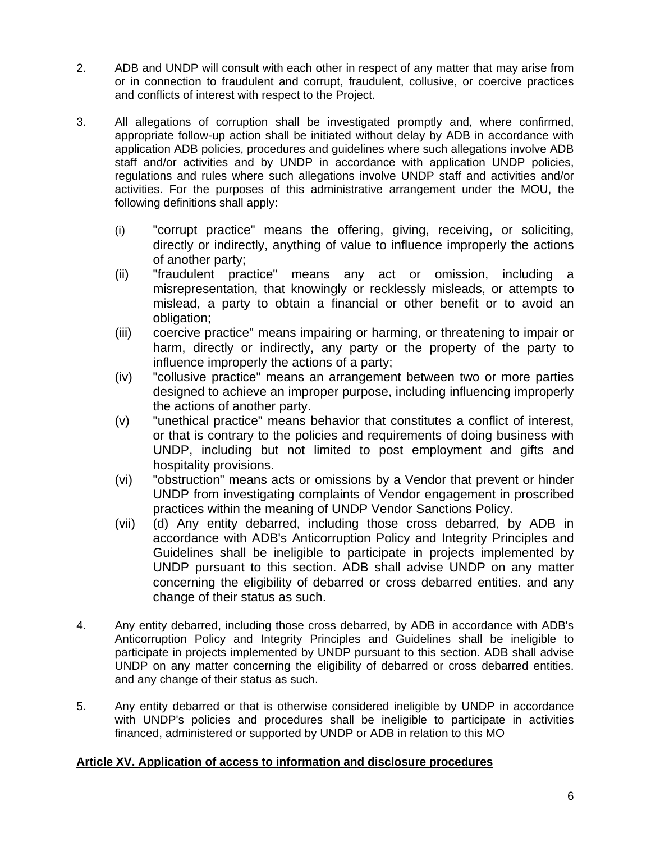- 2. ADB and UNDP will consult with each other in respect of any matter that may arise from or in connection to fraudulent and corrupt, fraudulent, collusive, or coercive practices and conflicts of interest with respect to the Project.
- 3. All allegations of corruption shall be investigated promptly and, where confirmed, appropriate follow-up action shall be initiated without delay by ADB in accordance with application ADB policies, procedures and guidelines where such allegations involve ADB staff and/or activities and by UNDP in accordance with application UNDP policies, regulations and rules where such allegations involve UNDP staff and activities and/or activities. For the purposes of this administrative arrangement under the MOU, the following definitions shall apply:
	- (i) "corrupt practice" means the offering, giving, receiving, or soliciting, directly or indirectly, anything of value to influence improperly the actions of another party;
	- (ii) "fraudulent practice" means any act or omission, including a misrepresentation, that knowingly or recklessly misleads, or attempts to mislead, a party to obtain a financial or other benefit or to avoid an obligation;
	- (iii) coercive practice" means impairing or harming, or threatening to impair or harm, directly or indirectly, any party or the property of the party to influence improperly the actions of a party;
	- (iv) "collusive practice" means an arrangement between two or more parties designed to achieve an improper purpose, including influencing improperly the actions of another party.
	- (v) "unethical practice" means behavior that constitutes a conflict of interest, or that is contrary to the policies and requirements of doing business with UNDP, including but not limited to post employment and gifts and hospitality provisions.
	- (vi) "obstruction" means acts or omissions by a Vendor that prevent or hinder UNDP from investigating complaints of Vendor engagement in proscribed practices within the meaning of UNDP Vendor Sanctions Policy.
	- (vii) (d) Any entity debarred, including those cross debarred, by ADB in accordance with ADB's Anticorruption Policy and Integrity Principles and Guidelines shall be ineligible to participate in projects implemented by UNDP pursuant to this section. ADB shall advise UNDP on any matter concerning the eligibility of debarred or cross debarred entities. and any change of their status as such.
- 4. Any entity debarred, including those cross debarred, by ADB in accordance with ADB's Anticorruption Policy and Integrity Principles and Guidelines shall be ineligible to participate in projects implemented by UNDP pursuant to this section. ADB shall advise UNDP on any matter concerning the eligibility of debarred or cross debarred entities. and any change of their status as such.
- 5. Any entity debarred or that is otherwise considered ineligible by UNDP in accordance with UNDP's policies and procedures shall be ineligible to participate in activities financed, administered or supported by UNDP or ADB in relation to this MO

## **Article XV. Application of access to information and disclosure procedures**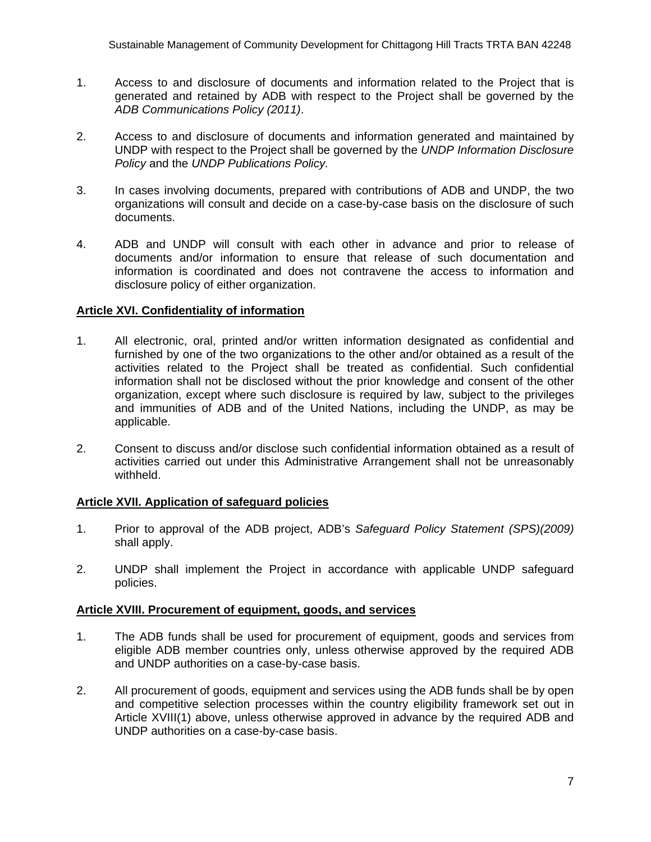- 1. Access to and disclosure of documents and information related to the Project that is generated and retained by ADB with respect to the Project shall be governed by the *ADB Communications Policy (2011)*.
- 2. Access to and disclosure of documents and information generated and maintained by UNDP with respect to the Project shall be governed by the *UNDP Information Disclosure Policy* and the *UNDP Publications Policy.*
- 3. In cases involving documents, prepared with contributions of ADB and UNDP, the two organizations will consult and decide on a case-by-case basis on the disclosure of such documents.
- 4. ADB and UNDP will consult with each other in advance and prior to release of documents and/or information to ensure that release of such documentation and information is coordinated and does not contravene the access to information and disclosure policy of either organization.

## **Article XVI. Confidentiality of information**

- 1. All electronic, oral, printed and/or written information designated as confidential and furnished by one of the two organizations to the other and/or obtained as a result of the activities related to the Project shall be treated as confidential. Such confidential information shall not be disclosed without the prior knowledge and consent of the other organization, except where such disclosure is required by law, subject to the privileges and immunities of ADB and of the United Nations, including the UNDP, as may be applicable.
- 2. Consent to discuss and/or disclose such confidential information obtained as a result of activities carried out under this Administrative Arrangement shall not be unreasonably withheld.

## **Article XVII. Application of safeguard policies**

- 1. Prior to approval of the ADB project, ADB's *Safeguard Policy Statement (SPS)(2009)* shall apply.
- 2. UNDP shall implement the Project in accordance with applicable UNDP safeguard policies.

## **Article XVIII. Procurement of equipment, goods, and services**

- 1. The ADB funds shall be used for procurement of equipment, goods and services from eligible ADB member countries only, unless otherwise approved by the required ADB and UNDP authorities on a case-by-case basis.
- 2. All procurement of goods, equipment and services using the ADB funds shall be by open and competitive selection processes within the country eligibility framework set out in Article XVIII(1) above, unless otherwise approved in advance by the required ADB and UNDP authorities on a case-by-case basis.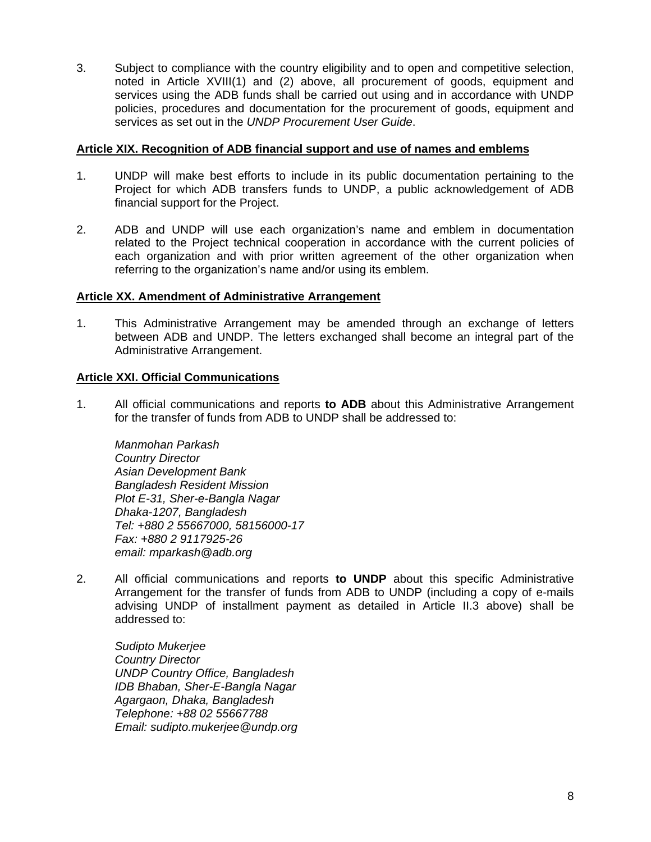3. Subject to compliance with the country eligibility and to open and competitive selection, noted in Article XVIII(1) and (2) above, all procurement of goods, equipment and services using the ADB funds shall be carried out using and in accordance with UNDP policies, procedures and documentation for the procurement of goods, equipment and services as set out in the *UNDP Procurement User Guide*.

## **Article XIX. Recognition of ADB financial support and use of names and emblems**

- 1. UNDP will make best efforts to include in its public documentation pertaining to the Project for which ADB transfers funds to UNDP, a public acknowledgement of ADB financial support for the Project.
- 2. ADB and UNDP will use each organization's name and emblem in documentation related to the Project technical cooperation in accordance with the current policies of each organization and with prior written agreement of the other organization when referring to the organization's name and/or using its emblem.

### **Article XX. Amendment of Administrative Arrangement**

1. This Administrative Arrangement may be amended through an exchange of letters between ADB and UNDP. The letters exchanged shall become an integral part of the Administrative Arrangement.

### **Article XXI. Official Communications**

1. All official communications and reports **to ADB** about this Administrative Arrangement for the transfer of funds from ADB to UNDP shall be addressed to:

*Manmohan Parkash Country Director Asian Development Bank Bangladesh Resident Mission Plot E-31, Sher-e-Bangla Nagar Dhaka-1207, Bangladesh Tel: +880 2 55667000, 58156000-17 Fax: +880 2 9117925-26 email: mparkash@adb.org* 

2. All official communications and reports **to UNDP** about this specific Administrative Arrangement for the transfer of funds from ADB to UNDP (including a copy of e-mails advising UNDP of installment payment as detailed in Article II.3 above) shall be addressed to:

*Sudipto Mukerjee Country Director UNDP Country Office, Bangladesh IDB Bhaban, Sher-E-Bangla Nagar Agargaon, Dhaka, Bangladesh Telephone: +88 02 55667788 Email: sudipto.mukerjee@undp.org*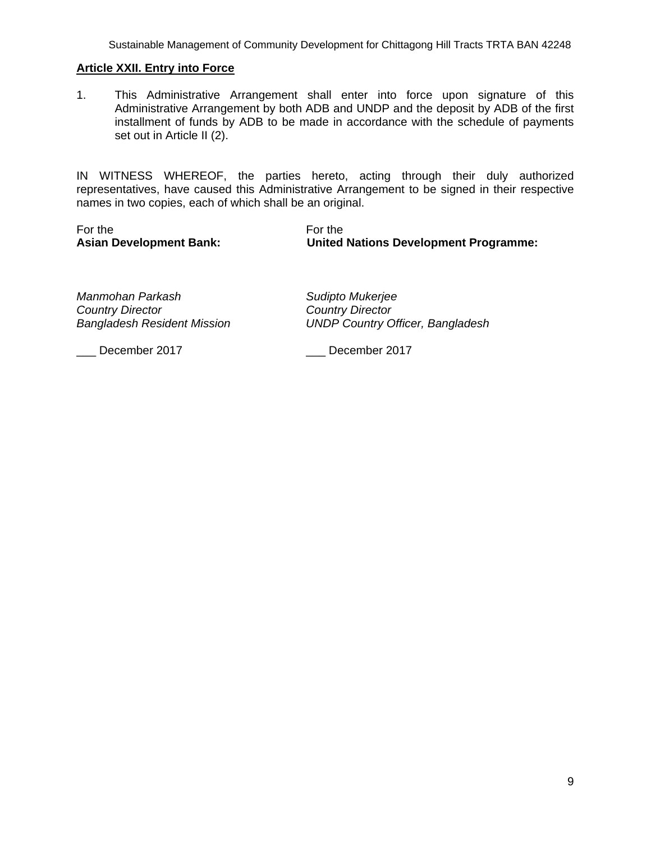Sustainable Management of Community Development for Chittagong Hill Tracts TRTA BAN 42248

#### **Article XXII. Entry into Force**

1. This Administrative Arrangement shall enter into force upon signature of this Administrative Arrangement by both ADB and UNDP and the deposit by ADB of the first installment of funds by ADB to be made in accordance with the schedule of payments set out in Article II (2).

IN WITNESS WHEREOF, the parties hereto, acting through their duly authorized representatives, have caused this Administrative Arrangement to be signed in their respective names in two copies, each of which shall be an original.

For the **Formula** For the **Formula** 

**Asian Development Bank: United Nations Development Programme:** 

*Manmohan Parkash Sudipto Mukerjee Country Director Country Director* 

*Bangladesh Resident Mission UNDP Country Officer, Bangladesh* 

\_\_\_ December 2017 \_\_\_ December 2017